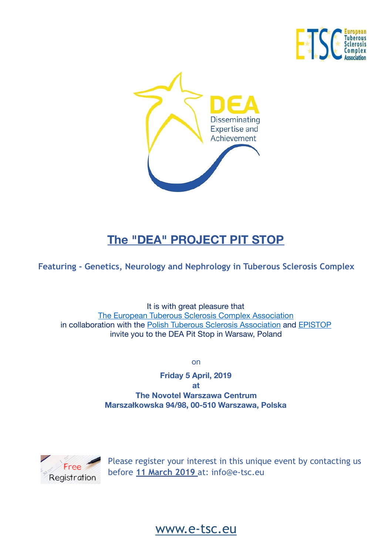



# **The "DEA" PROJECT PIT STOP**

**Featuring - Genetics, Neurology and Nephrology in Tuberous Sclerosis Complex**

It is with great pleasure that [The European Tuberous Sclerosis Complex Association](http://www.e-tsc.eu/) in collaboration with the [Polish Tuberous Sclerosis Association](http://www.stwardnienie-guzowate.eu/) and [EPISTOP](http://www.epistop.eu/) invite you to the DEA Pit Stop in Warsaw, Poland

on

**Friday 5 April, 2019 at The Novotel Warszawa Centrum Marszałkowska 94/98, 00-510 Warszawa, Polska** 



Please register your interest in this unique event by contacting us before **11 March 2019** at: info@e-tsc.eu

[www.e-tsc.eu](http://www.e-tsc.eu)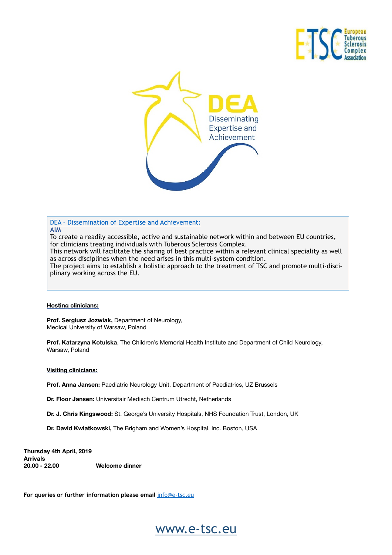



[DEA – Dissemination of Expertise and Achievement:](http://www.e-tsc.eu/)

#### **AIM**

To create a readily accessible, active and sustainable network within and between EU countries, for clinicians treating individuals with Tuberous Sclerosis Complex. This network will facilitate the sharing of best practice within a relevant clinical speciality as well

as across disciplines when the need arises in this multi-system condition. The project aims to establish a holistic approach to the treatment of TSC and promote multi-disci-

plinary working across the EU.

#### **Hosting clinicians:**

**Prof. Sergiusz Jozwiak,** Department of Neurology, Medical University of Warsaw, Poland

**Prof. Katarzyna Kotulska**, The Children's Memorial Health Institute and Department of Child Neurology, Warsaw, Poland

#### **Visiting clinicians:**

**Prof. Anna Jansen:** Paediatric Neurology Unit, Department of Paediatrics, UZ Brussels

**Dr. Floor Jansen:** Universitair Medisch Centrum Utrecht, Netherlands

**Dr. J. Chris Kingswood:** St. George's University Hospitals, NHS Foundation Trust, London, UK

**Dr. David Kwiatkowski,** The Brigham and Women's Hospital, Inc. Boston, USA

**Thursday 4th April, 2019 Arrivals 20.00 - 22.00 Welcome dinner** 

**For queries or further information please email** [info@e-tsc.eu](mailto:info@e-tsc.eu)

## [www.e-tsc.eu](http://www.e-tsc.eu)